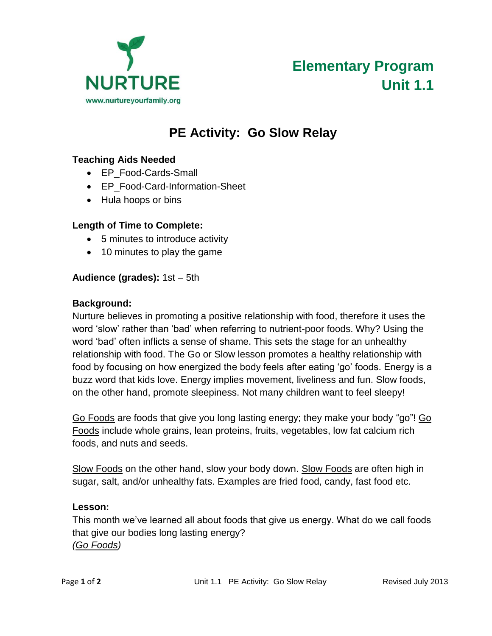

# **PE Activity: Go Slow Relay**

#### **Teaching Aids Needed**

- EP\_Food-Cards-Small
- EP Food-Card-Information-Sheet
- Hula hoops or bins

#### **Length of Time to Complete:**

- 5 minutes to introduce activity
- 10 minutes to play the game

#### **Audience (grades):** 1st – 5th

#### **Background:**

Nurture believes in promoting a positive relationship with food, therefore it uses the word 'slow' rather than 'bad' when referring to nutrient-poor foods. Why? Using the word 'bad' often inflicts a sense of shame. This sets the stage for an unhealthy relationship with food. The Go or Slow lesson promotes a healthy relationship with food by focusing on how energized the body feels after eating 'go' foods. Energy is a buzz word that kids love. Energy implies movement, liveliness and fun. Slow foods, on the other hand, promote sleepiness. Not many children want to feel sleepy!

Go Foods are foods that give you long lasting energy; they make your body "go"! Go Foods include whole grains, lean proteins, fruits, vegetables, low fat calcium rich foods, and nuts and seeds.

Slow Foods on the other hand, slow your body down. Slow Foods are often high in sugar, salt, and/or unhealthy fats. Examples are fried food, candy, fast food etc.

#### **Lesson:**

This month we've learned all about foods that give us energy. What do we call foods that give our bodies long lasting energy? *(Go Foods)*